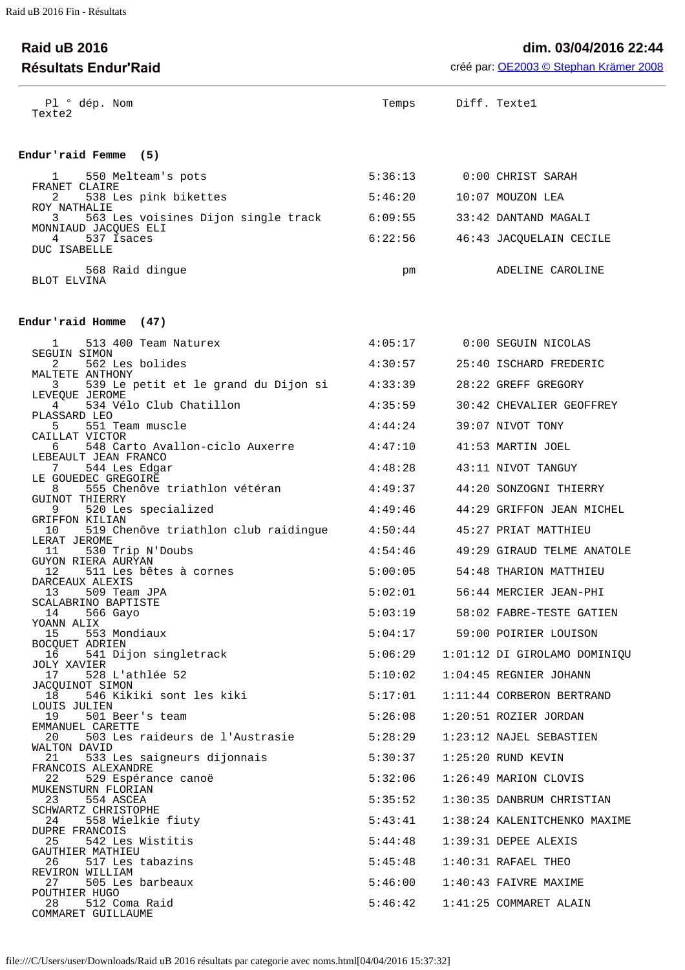## **Raid uB 2016 dim. 03/04/2016 22:44 Résultats Endur'Raid** créé par: [OE2003 © Stephan Krämer 2008](http://www.sportsoftware.de/)

| Pl º dép. Nom<br>Texte2                                                    |         | Temps Diff. Textel |                                   |
|----------------------------------------------------------------------------|---------|--------------------|-----------------------------------|
| Endur'raid Femme (5)                                                       |         |                    |                                   |
| 550 Melteam's pots<br>$1 \quad \blacksquare$                               |         |                    | 5:36:13 0:00 CHRIST SARAH         |
| FRANET CLAIRE<br>538 Les pink bikettes<br>$2 \sim$                         | 5:46:20 |                    | 10:07 MOUZON LEA                  |
| ROY NATHALIE<br>563 Les voisines Dijon single track 6:09:55<br>$3^{\circ}$ |         |                    | 33:42 DANTAND MAGALI              |
| MONNIAUD JACQUES ELI<br>$\overline{4}$<br>537 Isaces                       |         |                    | 6:22:56 46:43 JACQUELAIN CECILE   |
| DUC ISABELLE                                                               |         |                    |                                   |
| 568 Raid dingue<br>BLOT ELVINA                                             | pm      |                    | ADELINE CAROLINE                  |
| Endur'raid Homme (47)                                                      |         |                    |                                   |
| 513 400 Team Naturex<br>$\mathbf{1}$                                       |         |                    | 4:05:17 0:00 SEGUIN NICOLAS       |
| <b>SEGUIN SIMON</b><br>562 Les bolides<br>2                                | 4:30:57 |                    | 25:40 ISCHARD FREDERIC            |
| MALTETE ANTHONY<br>539 Le petit et le grand du Dijon si<br>3.              | 4:33:39 |                    | 28:22 GREFF GREGORY               |
| LEVEOUE JEROME<br>534 Vélo Club Chatillon<br>$4 \quad$                     | 4:35:59 |                    | 30:42 CHEVALIER GEOFFREY          |
| PLASSARD LEO<br>551 Team muscle<br>5.                                      | 4:44:24 |                    | 39:07 NIVOT TONY                  |
| CAILLAT VICTOR<br>548 Carto Avallon-ciclo Auxerre<br>6 —                   | 4:47:10 |                    | 41:53 MARTIN JOEL                 |
| LEBEAULT JEAN FRANCO<br>7 544 Les Edgar                                    | 4:48:28 |                    | 43:11 NIVOT TANGUY                |
| LE GOUEDEC GREGOIRE<br>555 Chenôve triathlon vétéran                       | 4:49:37 |                    | 44:20 SONZOGNI THIERRY            |
| GUINOT THIERRY<br>520 Les specialized<br>9                                 | 4:49:46 |                    | 44:29 GRIFFON JEAN MICHEL         |
| GRIFFON KILIAN<br>519 Chenôve triathlon club raidingue<br>10               | 4:50:44 |                    | 45:27 PRIAT MATTHIEU              |
| LERAT JEROME<br>530 Trip N'Doubs<br>11                                     | 4:54:46 |                    | 49:29 GIRAUD TELME ANATOLE        |
| GUYON RIERA AURYAN<br>12 <sub>1</sub><br>511 Les bêtes à cornes            | 5:00:05 |                    | 54:48 THARION MATTHIEU            |
| DARCEAUX ALEXIS<br>13<br>509 Team JPA                                      | 5:02:01 |                    | 56:44 MERCIER JEAN-PHI            |
| SCALABRINO BAPTISTE<br>14 566 Gayo                                         | 5:03:19 |                    | 58:02 FABRE-TESTE GATIEN          |
| YOANN ALIX<br>553 Mondiaux<br>15                                           |         |                    | 5:04:17 59:00 POIRIER LOUISON     |
| BOCQUET ADRIEN<br>541 Dijon singletrack<br>16 —                            | 5:06:29 |                    | 1:01:12 DI GIROLAMO DOMINIQU      |
| JOLY XAVIER<br>17<br>528 L'athlée 52                                       | 5:10:02 |                    | $1:04:45$ REGNIER JOHANN          |
| JACQUINOT SIMON<br>546 Kikiki sont les kiki<br>18                          | 5:17:01 |                    | 1:11:44 CORBERON BERTRAND         |
| LOUIS JULIEN<br>19 501 Beer's team                                         | 5:26:08 |                    | 1:20:51 ROZIER JORDAN             |
| EMMANUEL CARETTE<br>503 Les raideurs de l'Austrasie<br>20                  | 5:28:29 |                    | 1:23:12 NAJEL SEBASTIEN           |
| WALTON DAVID                                                               |         |                    |                                   |
| 21 533 Les saigneurs dijonnais<br>FRANCOIS ALEXANDRE                       | 5:30:37 |                    | $1:25:20$ RUND KEVIN              |
| 22 529 Espérance canoë<br>MUKENSTURN FLORIAN                               | 5:32:06 |                    | 1:26:49 MARION CLOVIS             |
| 23 554 ASCEA<br>SCHWARTZ CHRISTOPHE                                        | 5:35:52 |                    | 1:30:35 DANBRUM CHRISTIAN         |
| 24 558 Wielkie fiuty<br>DUPRE FRANCOIS                                     | 5:43:41 |                    | 1:38:24 KALENITCHENKO MAXIME      |
| 542 Les Wistitis<br>25<br>GAUTHIER MATHIEU                                 | 5:44:48 |                    | $1:39:31$ DEPEE ALEXIS            |
| 26 517 Les tabazins<br>REVIRON WILLIAM                                     | 5:45:48 |                    | $1:40:31$ RAFAEL THEO             |
| 27 505 Les barbeaux<br>POUTHIER HUGO                                       | 5:46:00 |                    | 1:40:43 FAIVRE MAXIME             |
| 512 Coma Raid<br>28<br>COMMARET GUILLAUME                                  |         |                    | 5:46:42    1:41:25 COMMARET ALAIN |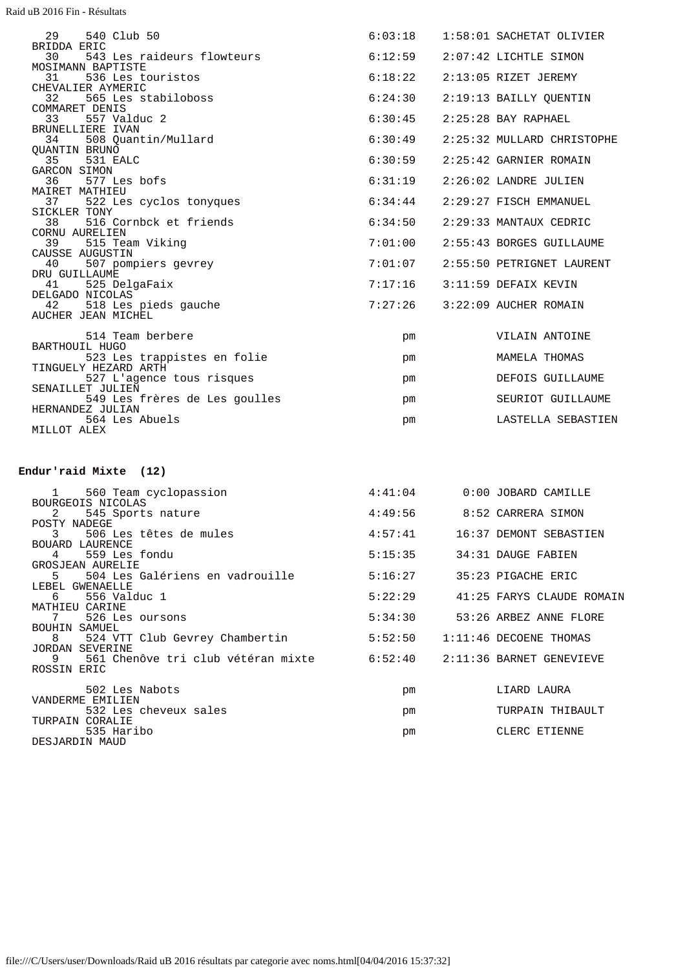Raid uB 2016 Fin - Résultats

| 29<br>540 Club 50                               | 6:03:18 | 1:58:01 SACHETAT OLIVIER   |
|-------------------------------------------------|---------|----------------------------|
| BRIDDA ERIC<br>543 Les raideurs flowteurs<br>30 | 6:12:59 | 2:07:42 LICHTLE SIMON      |
| MOSIMANN BAPTISTE                               |         |                            |
| 31<br>536 Les touristos                         | 6:18:22 | $2:13:05$ RIZET JEREMY     |
| CHEVALIER AYMERIC                               |         |                            |
| 565 Les stabiloboss<br>32                       | 6:24:30 | 2:19:13 BAILLY QUENTIN     |
| COMMARET DENIS                                  |         |                            |
| 557 Valduc 2<br>33                              | 6:30:45 | $2:25:28$ BAY RAPHAEL      |
| BRUNELLIERE IVAN                                |         |                            |
| 508 Quantin/Mullard<br>34                       | 6:30:49 | 2:25:32 MULLARD CHRISTOPHE |
| <b>OUANTIN BRUNO</b>                            |         |                            |
| 35<br>531 EALC                                  | 6:30:59 | $2:25:42$ GARNIER ROMAIN   |
| GARCON SIMON                                    |         |                            |
| 577 Les bofs<br>36                              | 6:31:19 | 2:26:02 LANDRE JULIEN      |
| MAIRET MATHIEU                                  |         |                            |
| 37<br>522 Les cyclos tonyques                   | 6:34:44 | $2:29:27$ FISCH EMMANUEL   |
| SICKLER TONY                                    |         |                            |
| 516 Cornbck et friends<br>38                    | 6:34:50 | 2:29:33 MANTAUX CEDRIC     |
| CORNU AURELIEN                                  |         |                            |
| 515 Team Viking<br>39                           | 7:01:00 | 2:55:43 BORGES GUILLAUME   |
| CAUSSE AUGUSTIN                                 |         |                            |
| 40<br>507 pompiers gevrey                       | 7:01:07 | 2:55:50 PETRIGNET LAURENT  |
| DRU GUILLAUME                                   |         | 3:11:59 DEFAIX KEVIN       |
| 41 525 DelgaFaix<br>DELGADO NICOLAS             | 7:17:16 |                            |
|                                                 | 7:27:26 | 3:22:09 AUCHER ROMAIN      |
| 42 518 Les pieds gauche                         |         |                            |
| AUCHER JEAN MICHEL                              |         |                            |
| 514 Team berbere                                | pm      | VILAIN ANTOINE             |
| BARTHOUIL HUGO                                  |         |                            |
| 523 Les trappistes en folie                     | pm      | MAMELA THOMAS              |
| TINGUELY HEZARD ARTH                            |         |                            |
| 527 L'agence tous risques                       | pm      | DEFOIS GUILLAUME           |
| SENAILLET JULIEN                                |         |                            |
| 549 Les frères de Les goulles                   | pm      | SEURIOT GUILLAUME          |
| HERNANDEZ JULIAN                                |         |                            |
| 564 Les Abuels                                  | pm      | LASTELLA SEBASTIEN         |
| MILLOT ALEX                                     |         |                            |
|                                                 |         |                            |

## **Endur'raid Mixte (12)**

|                                | 1 560 Team cyclopassion<br>BOURGEOIS NICOLAS                                                  | 4:41:04 | $0:00$ JOBARD CAMILLE     |
|--------------------------------|-----------------------------------------------------------------------------------------------|---------|---------------------------|
| $2 \left( \frac{1}{2} \right)$ | 545 Sports nature                                                                             | 4:49:56 | 8:52 CARRERA SIMON        |
| POSTY NADEGE<br>3              | 506 Les têtes de mules                                                                        | 4:57:41 | 16:37 DEMONT SEBASTIEN    |
| $4 \quad$                      | BOUARD LAURENCE<br>559 Les fondu                                                              | 5:15:35 | 34:31 DAUGE FABIEN        |
| 5                              | GROSJEAN AURELIE<br>504 Les Galériens en vadrouille                                           | 5:16:27 | 35:23 PIGACHE ERIC        |
| 6                              | LEBEL GWENAELLE<br>556 Valduc 1                                                               | 5:22:29 | 41:25 FARYS CLAUDE ROMAIN |
| 7                              | MATHIEU CARINE<br>526 Les oursons                                                             | 5:34:30 | 53:26 ARBEZ ANNE FLORE    |
|                                | BOUHIN SAMUEL<br>8 524 VTT Club Gevrey Chambertin                                             | 5:52:50 | $1:11:46$ DECOENE THOMAS  |
| 9                              | <b>JORDAN SEVERINE</b><br>561 Chenôve tri club vétéran mixte 6:52:40 2:11:36 BARNET GENEVIEVE |         |                           |
| ROSSIN ERIC                    |                                                                                               |         |                           |
|                                | 502 Les Nabots<br>VANDERME EMILIEN                                                            | pm      | LIARD LAURA               |
|                                | 532 Les cheveux sales<br>TURPAIN CORALIE                                                      | pm      | TURPAIN THIBAULT          |
|                                | 535 Haribo<br>DESJARDIN MAUD                                                                  | pm      | CLERC ETIENNE             |
|                                |                                                                                               |         |                           |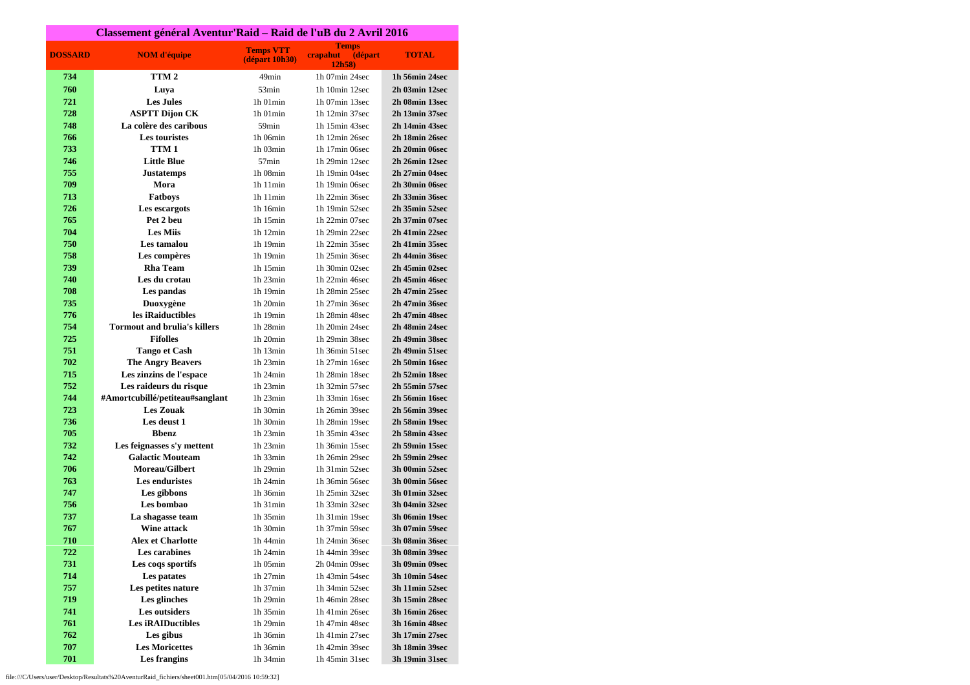| Classement général Aventur'Raid - Raid de l'uB du 2 Avril 2016 |                                     |                                    |                                               |                |
|----------------------------------------------------------------|-------------------------------------|------------------------------------|-----------------------------------------------|----------------|
| <b>DOSSARD</b>                                                 | <b>NOM</b> d'équipe                 | <b>Temps VTT</b><br>(départ 10h30) | <b>Temps</b><br>crapahut<br>(départ<br>12h58) | <b>TOTAL</b>   |
| 734                                                            | TTM <sub>2</sub>                    | 49 <sub>min</sub>                  | 1h 07min 24sec                                | 1h 56min 24sec |
| 760                                                            | Luya                                | 53min                              | 1h 10min 12sec                                | 2h 03min 12sec |
| 721                                                            | <b>Les Jules</b>                    | $1h$ 01 $min$                      | 1h 07min 13sec                                | 2h 08min 13sec |
| 728                                                            | <b>ASPTT Dijon CK</b>               | $1h$ 01 $min$                      | 1h 12min 37sec                                | 2h 13min 37sec |
| 748                                                            | La colère des caribous              | 59 <sub>min</sub>                  | 1h 15min 43sec                                | 2h 14min 43sec |
| 766                                                            | <b>Les touristes</b>                | 1h 06min                           | 1h 12min 26sec                                | 2h 18min 26sec |
| 733                                                            | TTM <sub>1</sub>                    | 1h 03min                           | 1h 17min 06sec                                | 2h 20min 06sec |
| 746                                                            | <b>Little Blue</b>                  | 57 <sub>min</sub>                  | 1h 29min 12sec                                | 2h 26min 12sec |
| 755                                                            | <b>Justatemps</b>                   | 1h 08min                           | 1h 19min 04sec                                | 2h 27min 04sec |
| 709                                                            | Mora                                | 1h11min                            | 1h 19min 06sec                                | 2h 30min 06sec |
| 713                                                            | <b>Fatboys</b>                      | 1h11min                            | 1h 22min 36sec                                | 2h 33min 36sec |
| 726                                                            | Les escargots                       | 1h 16min                           | 1h 19min 52sec                                | 2h 35min 52sec |
| 765                                                            | Pet 2 beu                           | $1h$ 15 $min$                      | 1h 22min 07sec                                | 2h 37min 07sec |
| 704                                                            | <b>Les Miis</b>                     | 1h 12min                           | 1h 29min 22sec                                | 2h 41min 22sec |
| 750                                                            | Les tamalou                         | 1h 19min                           | 1h 22min 35sec                                | 2h 41min 35sec |
| 758                                                            | Les compères                        | 1h 19min                           | 1h 25min 36sec                                | 2h 44min 36sec |
| 739                                                            | <b>Rha Team</b>                     | $1h$ 15 $min$                      | 1h 30min 02sec                                | 2h 45min 02sec |
| 740                                                            | Les du crotau                       | $1h$ 23 $min$                      | 1h 22min 46sec                                | 2h 45min 46sec |
| 708                                                            | Les pandas                          | 1h 19min                           | 1h 28min 25sec                                | 2h 47min 25sec |
| 735                                                            | Duoxygène                           | 1h 20min                           | 1h 27min 36sec                                | 2h 47min 36sec |
| 776                                                            | les iRaiductibles                   | 1h 19min                           | 1h 28min 48sec                                | 2h 47min 48sec |
| 754                                                            | <b>Tormout and brulia's killers</b> | 1h 28min                           | 1h 20min 24sec                                | 2h 48min 24sec |
| 725                                                            | <b>Fifolles</b>                     | 1h 20min                           | 1h 29min 38sec                                | 2h 49min 38sec |
| 751                                                            | <b>Tango et Cash</b>                | 1h 13min                           | 1h 36min 51sec                                | 2h 49min 51sec |
| 702                                                            | <b>The Angry Beavers</b>            | $1h$ 23 $min$                      | 1h 27min 16sec                                | 2h 50min 16sec |
| 715                                                            | Les zinzins de l'espace             | $1h$ 24 $min$                      | 1h 28min 18sec                                | 2h 52min 18sec |
| 752                                                            | Les raideurs du risque              | 1h 23min                           | 1h 32min 57sec                                | 2h 55min 57sec |
| 744                                                            | #Amortcubillé/petiteau#sanglant     | 1h 23min                           | 1h 33min 16sec                                | 2h 56min 16sec |
| 723                                                            | <b>Les Zouak</b>                    | 1h 30min                           | 1h 26min 39sec                                | 2h 56min 39sec |
| 736                                                            | Les deust 1                         | 1h 30min                           | 1h 28min 19sec                                | 2h 58min 19sec |
| 705                                                            | <b>Bbenz</b>                        | $1h$ 23 $min$                      | 1h 35min 43sec                                | 2h 58min 43sec |
| 732                                                            | Les feignasses s'y mettent          | $1h$ 23 $min$                      | 1h 36min 15sec                                | 2h 59min 15sec |
| 742                                                            | <b>Galactic Mouteam</b>             | $1h$ 33 $min$                      | 1h 26min 29sec                                | 2h 59min 29sec |
| 706                                                            | <b>Moreau/Gilbert</b>               | 1h 29min                           | 1h 31min 52sec                                | 3h 00min 52sec |
| 763                                                            | Les enduristes                      | 1h 24min                           | 1h 36min 56sec                                | 3h 00min 56sec |
| 747                                                            | Les gibbons                         | 1h 36min                           | 1h 25min 32sec                                | 3h 01min 32sec |
| 756                                                            | Les bombao                          | 1h 31min                           | 1h 33min 32sec                                | 3h 04min 32sec |
| 737                                                            | La shagasse team                    | 1h 35min                           | 1h 31min 19sec                                | 3h 06min 19sec |
| 767                                                            | Wine attack                         | 1h 30min                           | 1h 37min 59sec                                | 3h 07min 59sec |
| 710                                                            | Alex et Charlotte                   | 1h 44min                           | 1h 24min 36sec                                | 3h 08min 36sec |
| 722                                                            | Les carabines                       | 1h 24min                           | 1h 44min 39sec                                | 3h 08min 39sec |
| 731                                                            | Les coqs sportifs                   | 1h 05min                           | 2h 04min 09sec                                | 3h 09min 09sec |
| 714                                                            | Les patates                         | $1h$ 27 $min$                      | 1h 43min 54sec                                | 3h 10min 54sec |
| 757                                                            | Les petites nature                  | $1h$ 37 $min$                      | 1h 34min 52sec                                | 3h 11min 52sec |
| 719                                                            | Les glinches                        | 1h 29min                           | 1h 46min 28sec                                | 3h 15min 28sec |
| 741                                                            | Les outsiders                       | 1h 35min                           | 1h 41min 26sec                                | 3h 16min 26sec |
| 761                                                            | <b>Les iRAIDuctibles</b>            | 1h 29min                           | 1h 47min 48sec                                | 3h 16min 48sec |
| 762                                                            | Les gibus                           | 1h 36min                           | 1h 41min 27sec                                | 3h 17min 27sec |
| 707                                                            | <b>Les Moricettes</b>               | 1h 36min                           | 1h 42min 39sec                                | 3h 18min 39sec |
| 701                                                            | Les frangins                        | 1h 34min                           | 1h 45min 31sec                                | 3h 19min 31sec |

file:///C/Users/user/Desktop/Resultats%20AventurRaid\_fichiers/sheet001.htm[05/04/2016 10:59:32]